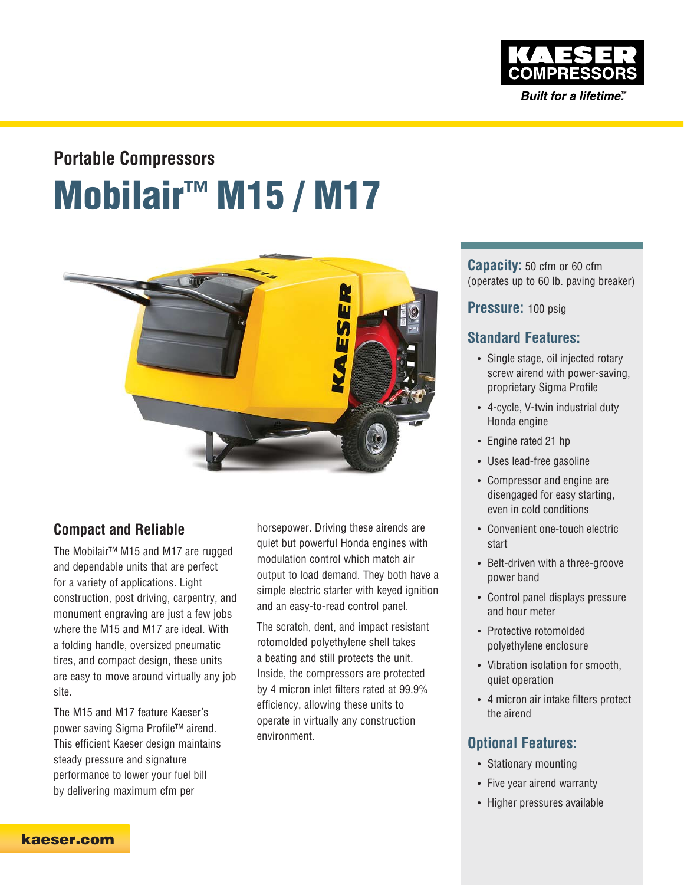

Built for a lifetime."

# **Mobilair™ M15 / M17 Portable Compressors**



### **Compact and Reliable**

The Mobilair™ M15 and M17 are rugged and dependable units that are perfect for a variety of applications. Light construction, post driving, carpentry, and monument engraving are just a few jobs where the M15 and M17 are ideal. With a folding handle, oversized pneumatic tires, and compact design, these units are easy to move around virtually any job site.

The M15 and M17 feature Kaeser's power saving Sigma Profile™ airend. This efficient Kaeser design maintains steady pressure and signature performance to lower your fuel bill by delivering maximum cfm per

horsepower. Driving these airends are quiet but powerful Honda engines with modulation control which match air output to load demand. They both have a simple electric starter with keyed ignition and an easy-to-read control panel.

The scratch, dent, and impact resistant rotomolded polyethylene shell takes a beating and still protects the unit. Inside, the compressors are protected by 4 micron inlet filters rated at 99.9% efficiency, allowing these units to operate in virtually any construction environment.

**Capacity:** 50 cfm or 60 cfm (operates up to 60 lb. paving breaker)

**Pressure:** 100 psig

### **Standard Features:**

- Single stage, oil injected rotary screw airend with power-saving, proprietary Sigma Profile
- 4-cycle, V-twin industrial duty Honda engine
- Engine rated 21 hp
- Uses lead-free gasoline
- Compressor and engine are disengaged for easy starting, even in cold conditions
- Convenient one-touch electric start
- Belt-driven with a three-groove power band
- Control panel displays pressure and hour meter
- Protective rotomolded polyethylene enclosure
- Vibration isolation for smooth, quiet operation
- 4 micron air intake filters protect the airend

### **Optional Features:**

- Stationary mounting
- Five year airend warranty
- Higher pressures available

**kaeser.com**